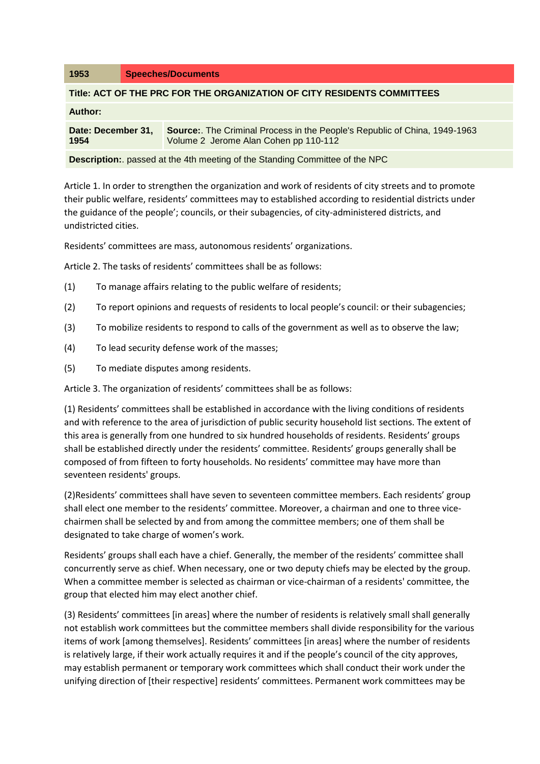| 1953                                                                               | <b>Speeches/Documents</b>                                                                                                  |
|------------------------------------------------------------------------------------|----------------------------------------------------------------------------------------------------------------------------|
| Title: ACT OF THE PRC FOR THE ORGANIZATION OF CITY RESIDENTS COMMITTEES            |                                                                                                                            |
| Author:                                                                            |                                                                                                                            |
| Date: December 31,<br>1954                                                         | <b>Source:.</b> The Criminal Process in the People's Republic of China, 1949-1963<br>Volume 2 Jerome Alan Cohen pp 110-112 |
| <b>Description:</b> passed at the 4th meeting of the Standing Committee of the NPC |                                                                                                                            |

Article 1. In order to strengthen the organization and work of residents of city streets and to promote their public welfare, residents' committees may to established according to residential districts under the guidance of the people'; councils, or their subagencies, of city-administered districts, and undistricted cities.

Residents' committees are mass, autonomous residents' organizations.

Article 2. The tasks of residents' committees shall be as follows:

- (1) To manage affairs relating to the public welfare of residents;
- (2) To report opinions and requests of residents to local people's council: or their subagencies;
- (3) To mobilize residents to respond to calls of the government as well as to observe the law;
- (4) To lead security defense work of the masses;
- (5) To mediate disputes among residents.

Article 3. The organization of residents' committees shall be as follows:

(1) Residents' committees shall be established in accordance with the living conditions of residents and with reference to the area of jurisdiction of public security household list sections. The extent of this area is generally from one hundred to six hundred households of residents. Residents' groups shall be established directly under the residents' committee. Residents' groups generally shall be composed of from fifteen to forty households. No residents' committee may have more than seventeen residents' groups.

(2)Residents' committees shall have seven to seventeen committee members. Each residents' group shall elect one member to the residents' committee. Moreover, a chairman and one to three vicechairmen shall be selected by and from among the committee members; one of them shall be designated to take charge of women's work.

Residents' groups shall each have a chief. Generally, the member of the residents' committee shall concurrently serve as chief. When necessary, one or two deputy chiefs may be elected by the group. When a committee member is selected as chairman or vice-chairman of a residents' committee, the group that elected him may elect another chief.

(3) Residents' committees [in areas] where the number of residents is relatively small shall generally not establish work committees but the committee members shall divide responsibility for the various items of work [among themselves]. Residents' committees [in areas] where the number of residents is relatively large, if their work actually requires it and if the people's council of the city approves, may establish permanent or temporary work committees which shall conduct their work under the unifying direction of [their respective] residents' committees. Permanent work committees may be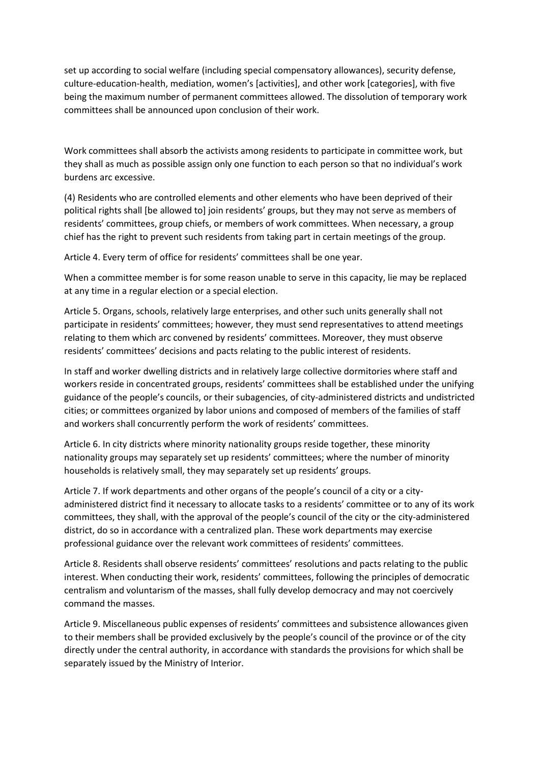set up according to social welfare (including special compensatory allowances), security defense, culture-education-health, mediation, women's [activities], and other work [categories], with five being the maximum number of permanent committees allowed. The dissolution of temporary work committees shall be announced upon conclusion of their work.

Work committees shall absorb the activists among residents to participate in committee work, but they shall as much as possible assign only one function to each person so that no individual's work burdens arc excessive.

(4) Residents who are controlled elements and other elements who have been deprived of their political rights shall [be allowed to] join residents' groups, but they may not serve as members of residents' committees, group chiefs, or members of work committees. When necessary, a group chief has the right to prevent such residents from taking part in certain meetings of the group.

Article 4. Every term of office for residents' committees shall be one year.

When a committee member is for some reason unable to serve in this capacity, lie may be replaced at any time in a regular election or a special election.

Article 5. Organs, schools, relatively large enterprises, and other such units generally shall not participate in residents' committees; however, they must send representatives to attend meetings relating to them which arc convened by residents' committees. Moreover, they must observe residents' committees' decisions and pacts relating to the public interest of residents.

In staff and worker dwelling districts and in relatively large collective dormitories where staff and workers reside in concentrated groups, residents' committees shall be established under the unifying guidance of the people's councils, or their subagencies, of city-administered districts and undistricted cities; or committees organized by labor unions and composed of members of the families of staff and workers shall concurrently perform the work of residents' committees.

Article 6. In city districts where minority nationality groups reside together, these minority nationality groups may separately set up residents' committees; where the number of minority households is relatively small, they may separately set up residents' groups.

Article 7. If work departments and other organs of the people's council of a city or a cityadministered district find it necessary to allocate tasks to a residents' committee or to any of its work committees, they shall, with the approval of the people's council of the city or the city-administered district, do so in accordance with a centralized plan. These work departments may exercise professional guidance over the relevant work committees of residents' committees.

Article 8. Residents shall observe residents' committees' resolutions and pacts relating to the public interest. When conducting their work, residents' committees, following the principles of democratic centralism and voluntarism of the masses, shall fully develop democracy and may not coercively command the masses.

Article 9. Miscellaneous public expenses of residents' committees and subsistence allowances given to their members shall be provided exclusively by the people's council of the province or of the city directly under the central authority, in accordance with standards the provisions for which shall be separately issued by the Ministry of Interior.